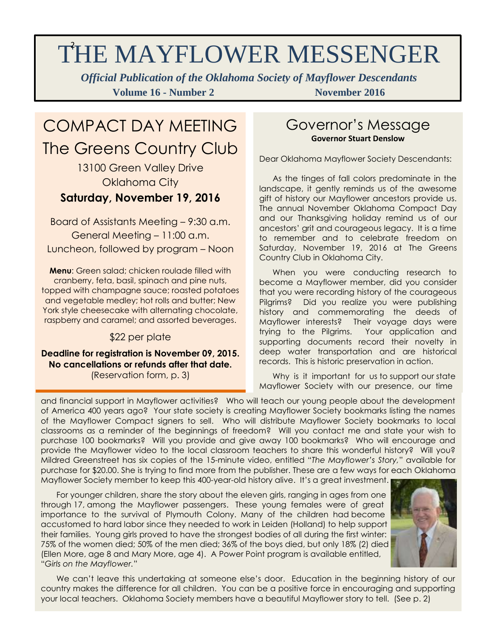# THE MAYFLOWER MESSENGER

*Official Publication of the Oklahoma Society of Mayflower Descendants* **Volume 16 - Number 2 November 2016** 

## COMPACT DAY MEETING The Greens Country Club

13100 Green Valley Drive Oklahoma City

### **Saturday, November 19, 2016**

Board of Assistants Meeting – 9:30 a.m. General Meeting – 11:00 a.m. Luncheon, followed by program – Noon

**Menu**: Green salad; chicken roulade filled with cranberry, feta, basil, spinach and pine nuts, topped with champagne sauce; roasted potatoes and vegetable medley; hot rolls and butter; New York style cheesecake with alternating chocolate, raspberry and caramel; and assorted beverages.

### \$22 per plate

**Deadline for registration is November 09, 2015. No cancellations or refunds after that date.** (Reservation form, p. 3)

## Governor's Message **Governor Stuart Denslow**

Dear Oklahoma Mayflower Society Descendants:

 As the tinges of fall colors predominate in the landscape, it gently reminds us of the awesome gift of history our Mayflower ancestors provide us. The annual November Oklahoma Compact Day and our Thanksgiving holiday remind us of our ancestors' grit and courageous legacy. It is a time to remember and to celebrate freedom on Saturday, November 19, 2016 at The Greens Country Club in Oklahoma City.

 When you were conducting research to become a Mayflower member, did you consider that you were recording history of the courageous Pilgrims? Did you realize you were publishing history and commemorating the deeds of Mayflower interests? Their voyage days were trying to the Pilgrims. Your application and supporting documents record their novelty in deep water transportation and are historical records. This is historic preservation in action.

Why is it important for us to support our state Mayflower Society with our presence, our time

of America 400 years ago? Your state society is creating Mayflower Society bookmarks listing the names and financial support in Mayflower activities? Who will teach our young people about the development of the Mayflower Compact signers to sell. Who will distribute Mayflower Society bookmarks to local classrooms as a reminder of the beginnings of freedom? Will you contact me and state your wish to purchase 100 bookmarks? Will you provide and give away 100 bookmarks? Who will encourage and provide the Mayflower video to the local classroom teachers to share this wonderful history? Will you? Mildred Greenstreet has six copies of the 15-minute video, entitled "*The Mayflower's Story,*" available for purchase for \$20.00. She is trying to find more from the publisher. These are a few ways for each Oklahoma Mayflower Society member to keep this 400-year-old history alive. It's a great investment.

 For younger children, share the story about the eleven girls, ranging in ages from one through 17, among the Mayflower passengers. These young females were of great importance to the survival of Plymouth Colony. Many of the children had become accustomed to hard labor since they needed to work in Leiden (Holland) to help support their families. Young girls proved to have the strongest bodies of all during the first winter: 75% of the women died; 50% of the men died; 36% of the boys died, but only 18% (2) died (Ellen More, age 8 and Mary More, age 4). A Power Point program is available entitled, "*Girls on the Mayflower.*"



 We can't leave this undertaking at someone else's door. Education in the beginning history of our country makes the difference for all children. You can be a positive force in encouraging and supporting your local teachers. Oklahoma Society members have a beautiful Mayflower story to tell. (See p. 2)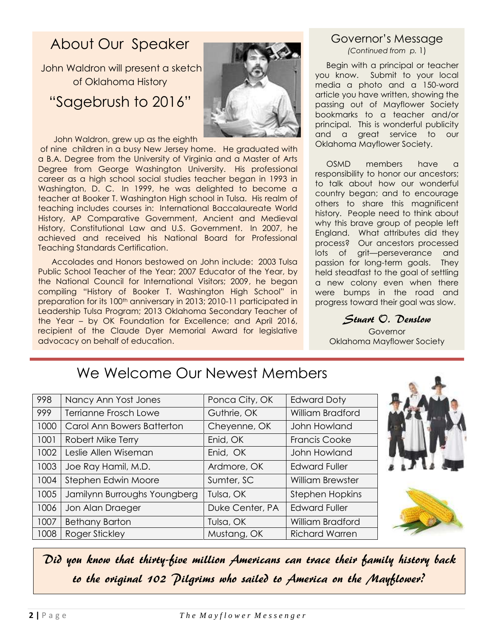## About Our Speaker

John Waldron will present a sketch of Oklahoma History "Sagebrush to 2016"

John Waldron, grew up as the eighth

of nine children in a busy New Jersey home. He graduated with a B.A. Degree from the University of Virginia and a Master of Arts Degree from George Washington University. His professional career as a high school social studies teacher began in 1993 in Washington, D. C. In 1999, he was delighted to become a teacher at Booker T. Washington High school in Tulsa. His realm of teaching includes courses in: International Baccalaureate World History, AP Comparative Government, Ancient and Medieval History, Constitutional Law and U.S. Government. In 2007, he achieved and received his National Board for Professional Teaching Standards Certification.

 Accolades and Honors bestowed on John include: 2003 Tulsa Public School Teacher of the Year; 2007 Educator of the Year, by the National Council for International Visitors; 2009, he began compiling "History of Booker T. Washington High School" in preparation for its 100<sup>th</sup> anniversary in 2013; 2010-11 participated in Leadership Tulsa Program; 2013 Oklahoma Secondary Teacher of the Year – by OK Foundation for Excellence; and April 2016, recipient of the Claude Dyer Memorial Award for legislative advocacy on behalf of education.

#### Governor's Message *(Continued from p.* 1)

 Begin with a principal or teacher you know. Submit to your local media a photo and a 150-word article you have written, showing the passing out of Mayflower Society bookmarks to a teacher and/or principal. This is wonderful publicity and a great service to our Oklahoma Mayflower Society.

 OSMD members have a responsibility to honor our ancestors; to talk about how our wonderful country began; and to encourage others to share this magnificent history. People need to think about why this brave group of people left England. What attributes did they process? Our ancestors processed lots of grit—perseverance and passion for long-term goals. They held steadfast to the goal of settling a new colony even when there were bumps in the road and progress toward their goal was slow.

Stuart O. Denslow

**Governor** Oklahoma Mayflower Society

## We Welcome Our Newest Members

| 998  | Nancy Ann Yost Jones         | Ponca City, OK  | <b>Edward Doty</b>      |
|------|------------------------------|-----------------|-------------------------|
| 999  | Terrianne Frosch Lowe        | Guthrie, OK     | William Bradford        |
| 1000 | Carol Ann Bowers Batterton   | Cheyenne, OK    | John Howland            |
| 1001 | Robert Mike Terry            | Enid, OK        | <b>Francis Cooke</b>    |
| 1002 | Leslie Allen Wiseman         | Enid, OK        | John Howland            |
| 1003 | Joe Ray Hamil, M.D.          | Ardmore, OK     | <b>Edward Fuller</b>    |
| 1004 | Stephen Edwin Moore          | Sumter, SC      | <b>William Brewster</b> |
| 1005 | Jamilynn Burroughs Youngberg | Tulsa, OK       | <b>Stephen Hopkins</b>  |
| 1006 | Jon Alan Draeger             | Duke Center, PA | <b>Edward Fuller</b>    |
| 1007 | <b>Bethany Barton</b>        | Tulsa, OK       | William Bradford        |
| 1008 | Roger Stickley               | Mustang, OK     | <b>Richard Warren</b>   |





Did you know that thirty-five million Americans can trace their family history back to the original 102 Pilgrims who sailed to America on the Mayflower?

**2 |** P a g e*T h e M a y f l o w e r M e s s e n g e r*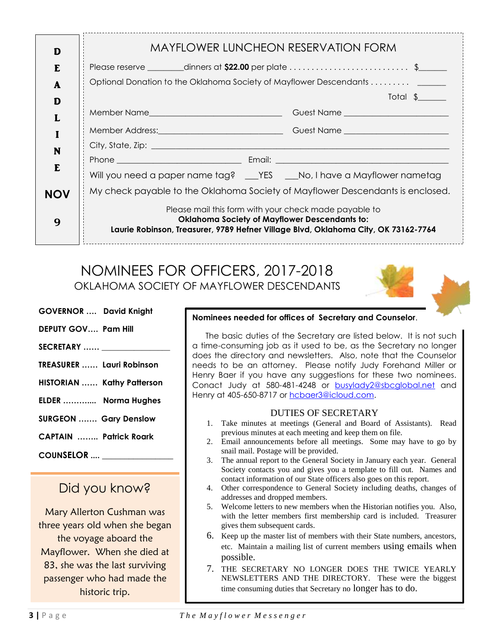| D          | <b>MAYFLOWER LUNCHEON RESERVATION FORM</b>                                                                                                 |  |  |  |
|------------|--------------------------------------------------------------------------------------------------------------------------------------------|--|--|--|
| F.         | Please reserve ________dinners at <b>\$22.00</b> per plate $\ldots \ldots \ldots \ldots \ldots \ldots \ldots$ \$_____                      |  |  |  |
| A          | Optional Donation to the Oklahoma Society of Mayflower Descendants ______                                                                  |  |  |  |
| D          | $Total \S$                                                                                                                                 |  |  |  |
|            |                                                                                                                                            |  |  |  |
|            |                                                                                                                                            |  |  |  |
| N          |                                                                                                                                            |  |  |  |
|            |                                                                                                                                            |  |  |  |
| E          | Will you need a paper name tag? ___ YES ___ No, I have a Mayflower nametag                                                                 |  |  |  |
| <b>NOV</b> | My check payable to the Oklahoma Society of Mayflower Descendants is enclosed.                                                             |  |  |  |
|            | Please mail this form with your check made payable to                                                                                      |  |  |  |
| 9          | <b>Oklahoma Society of Mayflower Descendants to:</b><br>Laurie Robinson, Treasurer, 9789 Hefner Village Blvd, Oklahoma City, OK 73162-7764 |  |  |  |
|            |                                                                                                                                            |  |  |  |

 NOMINEES FOR OFFICERS, 2017-2018 OKLAHOMA SOCIETY OF MAYFLOWER DESCENDANTS

- **GOVERNOR …. David Knight**
- **DEPUTY GOV…. Pam Hill**
- **SECRETARY …… \_\_\_\_\_\_\_\_\_\_\_\_\_\_\_\_\_**
- **TREASURER …… Lauri Robinson**
- **HISTORIAN …… Kathy Patterson**
- **ELDER ……….... Norma Hughes**
- **SURGEON ……. Gary Denslow**
- **CAPTAIN …….. Patrick Roark**
- **COUNSELOR .... \_\_\_\_\_\_\_\_\_\_\_\_\_\_\_\_**

## Did you know?

Mary Allerton Cushman was three years old when she began the voyage aboard the Mayflower. When she died at 83, she was the last surviving passenger who had made the historic trip.

#### **Nominees needed for offices of Secretary and Counselor**.

 The basic duties of the Secretary are listed below. It is not such a time-consuming job as it used to be, as the Secretary no longer does the directory and newsletters. Also, note that the Counselor needs to be an attorney. Please notify Judy Forehand Miller or Henry Baer if you have any suggestions for these two nominees. Conact Judy at 580-481-4248 or [busylady2@sbcglobal.net](mailto:busylady2@sbcglobal.net) and Henry at 405-650-8717 or [hcbaer3@icloud.com.](mailto:hcbaer3@icloud.com)

#### DUTIES OF SECRETARY

- 1. Take minutes at meetings (General and Board of Assistants). Read previous minutes at each meeting and keep them on file.
- 2. Email announcements before all meetings. Some may have to go by snail mail. Postage will be provided.
- 3. The annual report to the General Society in January each year. General Society contacts you and gives you a template to fill out. Names and contact information of our State officers also goes on this report.
- 4. Other correspondence to General Society including deaths, changes of addresses and dropped members.
- 5. Welcome letters to new members when the Historian notifies you. Also, with the letter members first membership card is included. Treasurer gives them subsequent cards.
- 6. Keep up the master list of members with their State numbers, ancestors, etc. Maintain a mailing list of current members using emails when possible.
- 7. THE SECRETARY NO LONGER DOES THE TWICE YEARLY NEWSLETTERS AND THE DIRECTORY. These were the biggest time consuming duties that Secretary no longer has to do.